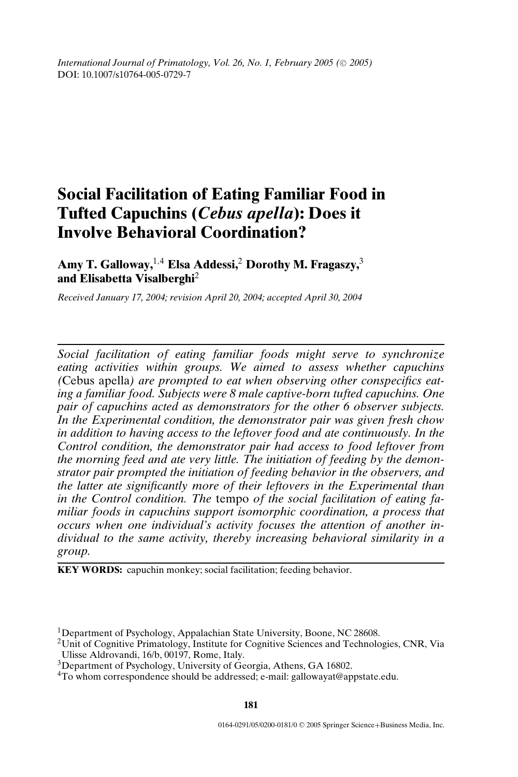*International Journal of Primatology, Vol. 26, No. 1, February 2005 (* $\odot$  *2005)* DOI: 10.1007/s10764-005-0729-7

# **Social Facilitation of Eating Familiar Food in Tufted Capuchins (***Cebus apella***): Does it Involve Behavioral Coordination?**

**Amy T. Galloway,**<sup>1</sup>*,*<sup>4</sup> **Elsa Addessi,**<sup>2</sup> **Dorothy M. Fragaszy,**<sup>3</sup> **and Elisabetta Visalberghi**<sup>2</sup>

*Received January 17, 2004; revision April 20, 2004; accepted April 30, 2004*

*Social facilitation of eating familiar foods might serve to synchronize eating activities within groups. We aimed to assess whether capuchins (*Cebus apella*) are prompted to eat when observing other conspecifics eating a familiar food. Subjects were 8 male captive-born tufted capuchins. One pair of capuchins acted as demonstrators for the other 6 observer subjects. In the Experimental condition, the demonstrator pair was given fresh chow in addition to having access to the leftover food and ate continuously. In the Control condition, the demonstrator pair had access to food leftover from the morning feed and ate very little. The initiation of feeding by the demonstrator pair prompted the initiation of feeding behavior in the observers, and the latter ate significantly more of their leftovers in the Experimental than in the Control condition. The* tempo *of the social facilitation of eating familiar foods in capuchins support isomorphic coordination, a process that occurs when one individual's activity focuses the attention of another individual to the same activity, thereby increasing behavioral similarity in a group.*

**KEY WORDS:** capuchin monkey; social facilitation; feeding behavior.

**181**

<sup>&</sup>lt;sup>1</sup>Department of Psychology, Appalachian State University, Boone, NC 28608.

<sup>2</sup>Unit of Cognitive Primatology, Institute for Cognitive Sciences and Technologies, CNR, Via Ulisse Aldrovandi, 16/b, 00197, Rome, Italy.

<sup>3</sup>Department of Psychology, University of Georgia, Athens, GA 16802.

<sup>&</sup>lt;sup>4</sup>To whom correspondence should be addressed; e-mail: gallowayat@appstate.edu.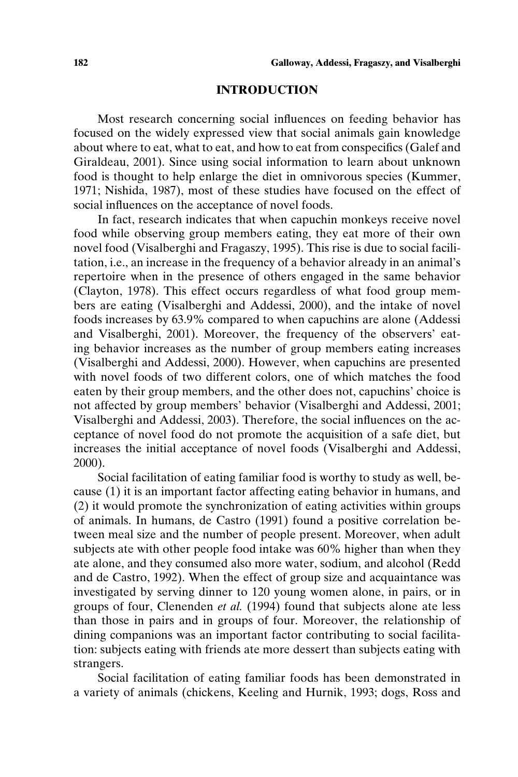## **INTRODUCTION**

Most research concerning social influences on feeding behavior has focused on the widely expressed view that social animals gain knowledge about where to eat, what to eat, and how to eat from conspecifics (Galef and Giraldeau, 2001). Since using social information to learn about unknown food is thought to help enlarge the diet in omnivorous species (Kummer, 1971; Nishida, 1987), most of these studies have focused on the effect of social influences on the acceptance of novel foods.

In fact, research indicates that when capuchin monkeys receive novel food while observing group members eating, they eat more of their own novel food (Visalberghi and Fragaszy, 1995). This rise is due to social facilitation, i.e., an increase in the frequency of a behavior already in an animal's repertoire when in the presence of others engaged in the same behavior (Clayton, 1978). This effect occurs regardless of what food group members are eating (Visalberghi and Addessi, 2000), and the intake of novel foods increases by 63.9% compared to when capuchins are alone (Addessi and Visalberghi, 2001). Moreover, the frequency of the observers' eating behavior increases as the number of group members eating increases (Visalberghi and Addessi, 2000). However, when capuchins are presented with novel foods of two different colors, one of which matches the food eaten by their group members, and the other does not, capuchins' choice is not affected by group members' behavior (Visalberghi and Addessi, 2001; Visalberghi and Addessi, 2003). Therefore, the social influences on the acceptance of novel food do not promote the acquisition of a safe diet, but increases the initial acceptance of novel foods (Visalberghi and Addessi, 2000).

Social facilitation of eating familiar food is worthy to study as well, because (1) it is an important factor affecting eating behavior in humans, and (2) it would promote the synchronization of eating activities within groups of animals. In humans, de Castro (1991) found a positive correlation between meal size and the number of people present. Moreover, when adult subjects ate with other people food intake was 60% higher than when they ate alone, and they consumed also more water, sodium, and alcohol (Redd and de Castro, 1992). When the effect of group size and acquaintance was investigated by serving dinner to 120 young women alone, in pairs, or in groups of four, Clenenden *et al.* (1994) found that subjects alone ate less than those in pairs and in groups of four. Moreover, the relationship of dining companions was an important factor contributing to social facilitation: subjects eating with friends ate more dessert than subjects eating with strangers.

Social facilitation of eating familiar foods has been demonstrated in a variety of animals (chickens, Keeling and Hurnik, 1993; dogs, Ross and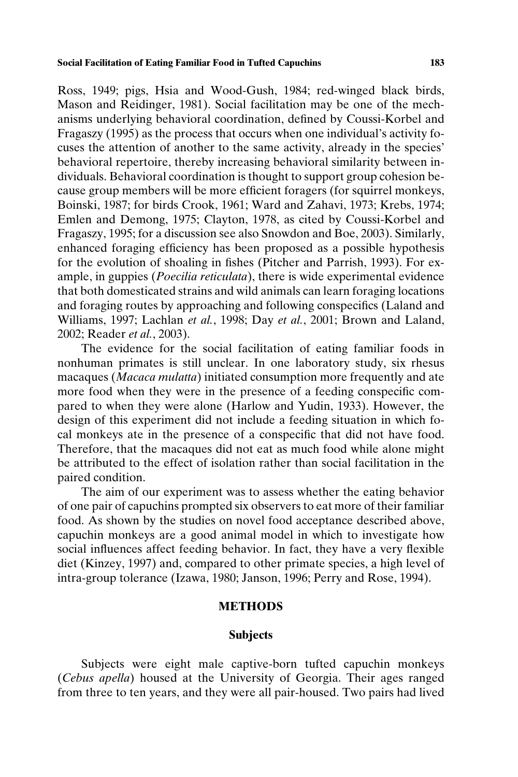Ross, 1949; pigs, Hsia and Wood-Gush, 1984; red-winged black birds, Mason and Reidinger, 1981). Social facilitation may be one of the mechanisms underlying behavioral coordination, defined by Coussi-Korbel and Fragaszy (1995) as the process that occurs when one individual's activity focuses the attention of another to the same activity, already in the species' behavioral repertoire, thereby increasing behavioral similarity between individuals. Behavioral coordination is thought to support group cohesion because group members will be more efficient foragers (for squirrel monkeys, Boinski, 1987; for birds Crook, 1961; Ward and Zahavi, 1973; Krebs, 1974; Emlen and Demong, 1975; Clayton, 1978, as cited by Coussi-Korbel and Fragaszy, 1995; for a discussion see also Snowdon and Boe, 2003). Similarly, enhanced foraging efficiency has been proposed as a possible hypothesis for the evolution of shoaling in fishes (Pitcher and Parrish, 1993). For example, in guppies (*Poecilia reticulata*), there is wide experimental evidence that both domesticated strains and wild animals can learn foraging locations and foraging routes by approaching and following conspecifics (Laland and Williams, 1997; Lachlan *et al.*, 1998; Day *et al.*, 2001; Brown and Laland, 2002; Reader *et al.*, 2003).

The evidence for the social facilitation of eating familiar foods in nonhuman primates is still unclear. In one laboratory study, six rhesus macaques (*Macaca mulatta*) initiated consumption more frequently and ate more food when they were in the presence of a feeding conspecific compared to when they were alone (Harlow and Yudin, 1933). However, the design of this experiment did not include a feeding situation in which focal monkeys ate in the presence of a conspecific that did not have food. Therefore, that the macaques did not eat as much food while alone might be attributed to the effect of isolation rather than social facilitation in the paired condition.

The aim of our experiment was to assess whether the eating behavior of one pair of capuchins prompted six observers to eat more of their familiar food. As shown by the studies on novel food acceptance described above, capuchin monkeys are a good animal model in which to investigate how social influences affect feeding behavior. In fact, they have a very flexible diet (Kinzey, 1997) and, compared to other primate species, a high level of intra-group tolerance (Izawa, 1980; Janson, 1996; Perry and Rose, 1994).

# **METHODS**

# **Subjects**

Subjects were eight male captive-born tufted capuchin monkeys (*Cebus apella*) housed at the University of Georgia. Their ages ranged from three to ten years, and they were all pair-housed. Two pairs had lived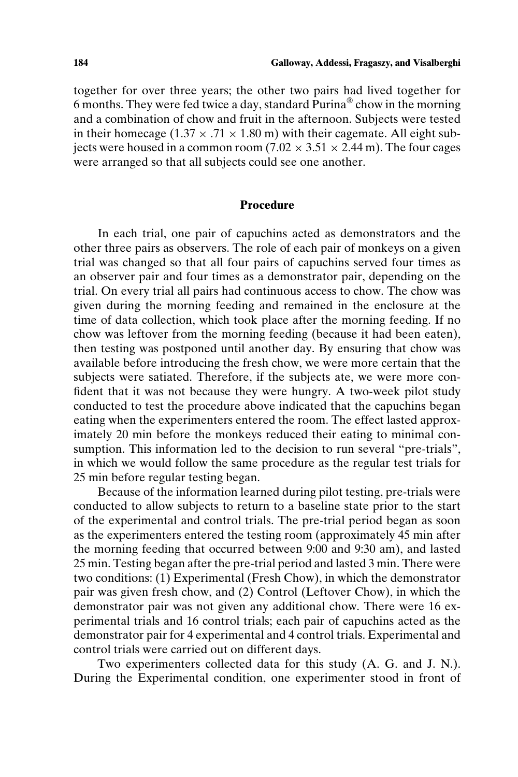together for over three years; the other two pairs had lived together for 6 months. They were fed twice a day, standard  $\text{Purina}^{\circledR}$  chow in the morning and a combination of chow and fruit in the afternoon. Subjects were tested in their homecage  $(1.37 \times .71 \times 1.80 \text{ m})$  with their cagemate. All eight subjects were housed in a common room  $(7.02 \times 3.51 \times 2.44 \text{ m})$ . The four cages were arranged so that all subjects could see one another.

# **Procedure**

In each trial, one pair of capuchins acted as demonstrators and the other three pairs as observers. The role of each pair of monkeys on a given trial was changed so that all four pairs of capuchins served four times as an observer pair and four times as a demonstrator pair, depending on the trial. On every trial all pairs had continuous access to chow. The chow was given during the morning feeding and remained in the enclosure at the time of data collection, which took place after the morning feeding. If no chow was leftover from the morning feeding (because it had been eaten), then testing was postponed until another day. By ensuring that chow was available before introducing the fresh chow, we were more certain that the subjects were satiated. Therefore, if the subjects ate, we were more confident that it was not because they were hungry. A two-week pilot study conducted to test the procedure above indicated that the capuchins began eating when the experimenters entered the room. The effect lasted approximately 20 min before the monkeys reduced their eating to minimal consumption. This information led to the decision to run several "pre-trials", in which we would follow the same procedure as the regular test trials for 25 min before regular testing began.

Because of the information learned during pilot testing, pre-trials were conducted to allow subjects to return to a baseline state prior to the start of the experimental and control trials. The pre-trial period began as soon as the experimenters entered the testing room (approximately 45 min after the morning feeding that occurred between 9:00 and 9:30 am), and lasted 25 min. Testing began after the pre-trial period and lasted 3 min. There were two conditions: (1) Experimental (Fresh Chow), in which the demonstrator pair was given fresh chow, and (2) Control (Leftover Chow), in which the demonstrator pair was not given any additional chow. There were 16 experimental trials and 16 control trials; each pair of capuchins acted as the demonstrator pair for 4 experimental and 4 control trials. Experimental and control trials were carried out on different days.

Two experimenters collected data for this study (A. G. and J. N.). During the Experimental condition, one experimenter stood in front of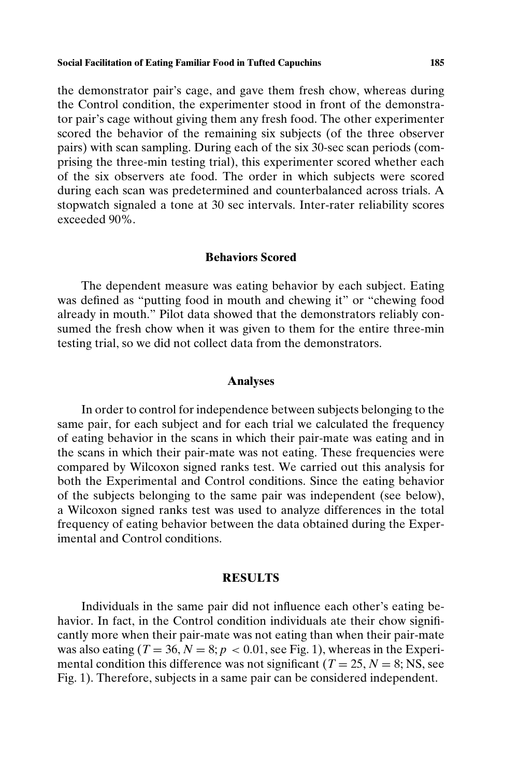the demonstrator pair's cage, and gave them fresh chow, whereas during the Control condition, the experimenter stood in front of the demonstrator pair's cage without giving them any fresh food. The other experimenter scored the behavior of the remaining six subjects (of the three observer pairs) with scan sampling. During each of the six 30-sec scan periods (comprising the three-min testing trial), this experimenter scored whether each of the six observers ate food. The order in which subjects were scored during each scan was predetermined and counterbalanced across trials. A stopwatch signaled a tone at 30 sec intervals. Inter-rater reliability scores exceeded 90%.

## **Behaviors Scored**

The dependent measure was eating behavior by each subject. Eating was defined as "putting food in mouth and chewing it" or "chewing food already in mouth." Pilot data showed that the demonstrators reliably consumed the fresh chow when it was given to them for the entire three-min testing trial, so we did not collect data from the demonstrators.

## **Analyses**

In order to control for independence between subjects belonging to the same pair, for each subject and for each trial we calculated the frequency of eating behavior in the scans in which their pair-mate was eating and in the scans in which their pair-mate was not eating. These frequencies were compared by Wilcoxon signed ranks test. We carried out this analysis for both the Experimental and Control conditions. Since the eating behavior of the subjects belonging to the same pair was independent (see below), a Wilcoxon signed ranks test was used to analyze differences in the total frequency of eating behavior between the data obtained during the Experimental and Control conditions.

## **RESULTS**

Individuals in the same pair did not influence each other's eating behavior. In fact, in the Control condition individuals ate their chow significantly more when their pair-mate was not eating than when their pair-mate was also eating  $(T = 36, N = 8; p < 0.01$ , see Fig. 1), whereas in the Experimental condition this difference was not significant ( $T = 25$ ,  $N = 8$ ; NS, see Fig. 1). Therefore, subjects in a same pair can be considered independent.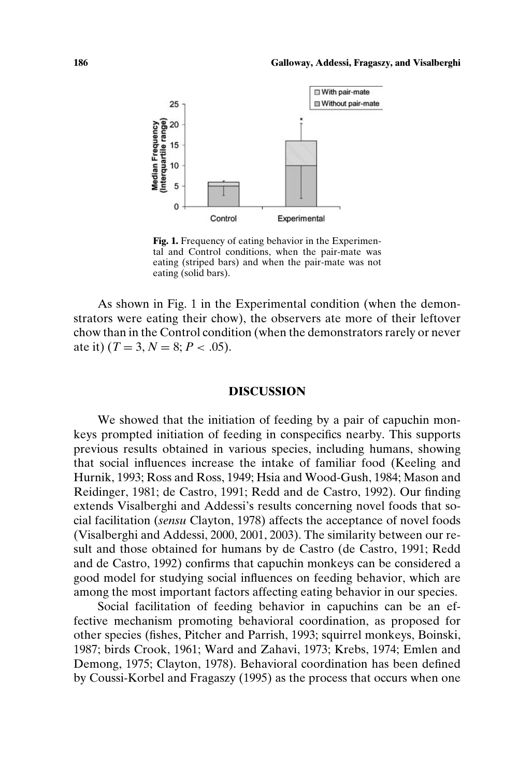

**Fig. 1.** Frequency of eating behavior in the Experimental and Control conditions, when the pair-mate was eating (striped bars) and when the pair-mate was not eating (solid bars).

As shown in Fig. 1 in the Experimental condition (when the demonstrators were eating their chow), the observers ate more of their leftover chow than in the Control condition (when the demonstrators rarely or never ate it)  $(T = 3, N = 8; P < .05)$ .

## **DISCUSSION**

We showed that the initiation of feeding by a pair of capuchin monkeys prompted initiation of feeding in conspecifics nearby. This supports previous results obtained in various species, including humans, showing that social influences increase the intake of familiar food (Keeling and Hurnik, 1993; Ross and Ross, 1949; Hsia and Wood-Gush, 1984; Mason and Reidinger, 1981; de Castro, 1991; Redd and de Castro, 1992). Our finding extends Visalberghi and Addessi's results concerning novel foods that social facilitation (*sensu* Clayton, 1978) affects the acceptance of novel foods (Visalberghi and Addessi, 2000, 2001, 2003). The similarity between our result and those obtained for humans by de Castro (de Castro, 1991; Redd and de Castro, 1992) confirms that capuchin monkeys can be considered a good model for studying social influences on feeding behavior, which are among the most important factors affecting eating behavior in our species.

Social facilitation of feeding behavior in capuchins can be an effective mechanism promoting behavioral coordination, as proposed for other species (fishes, Pitcher and Parrish, 1993; squirrel monkeys, Boinski, 1987; birds Crook, 1961; Ward and Zahavi, 1973; Krebs, 1974; Emlen and Demong, 1975; Clayton, 1978). Behavioral coordination has been defined by Coussi-Korbel and Fragaszy (1995) as the process that occurs when one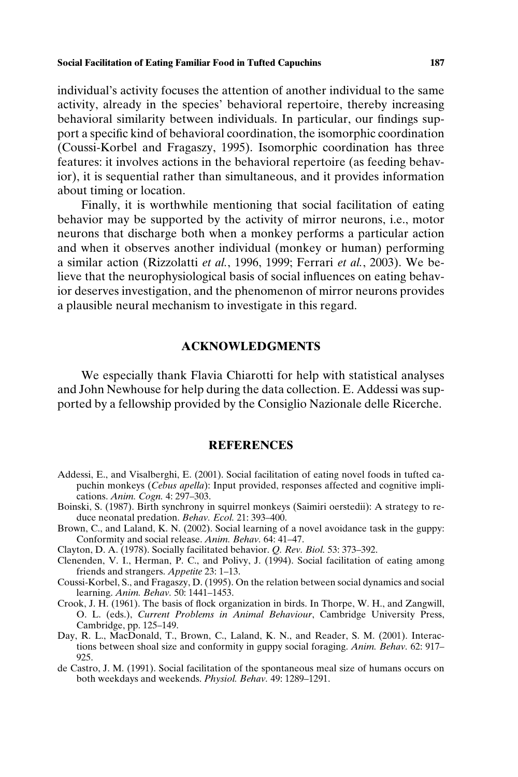individual's activity focuses the attention of another individual to the same activity, already in the species' behavioral repertoire, thereby increasing behavioral similarity between individuals. In particular, our findings support a specific kind of behavioral coordination, the isomorphic coordination (Coussi-Korbel and Fragaszy, 1995). Isomorphic coordination has three features: it involves actions in the behavioral repertoire (as feeding behavior), it is sequential rather than simultaneous, and it provides information about timing or location.

Finally, it is worthwhile mentioning that social facilitation of eating behavior may be supported by the activity of mirror neurons, i.e., motor neurons that discharge both when a monkey performs a particular action and when it observes another individual (monkey or human) performing a similar action (Rizzolatti *et al.*, 1996, 1999; Ferrari *et al.*, 2003). We believe that the neurophysiological basis of social influences on eating behavior deserves investigation, and the phenomenon of mirror neurons provides a plausible neural mechanism to investigate in this regard.

# **ACKNOWLEDGMENTS**

We especially thank Flavia Chiarotti for help with statistical analyses and John Newhouse for help during the data collection. E. Addessi was supported by a fellowship provided by the Consiglio Nazionale delle Ricerche.

# **REFERENCES**

- Addessi, E., and Visalberghi, E. (2001). Social facilitation of eating novel foods in tufted capuchin monkeys (*Cebus apella*): Input provided, responses affected and cognitive implications. *Anim. Cogn.* 4: 297–303.
- Boinski, S. (1987). Birth synchrony in squirrel monkeys (Saimiri oerstedii): A strategy to reduce neonatal predation. *Behav. Ecol.* 21: 393–400.
- Brown, C., and Laland, K. N. (2002). Social learning of a novel avoidance task in the guppy: Conformity and social release. *Anim. Behav.* 64: 41–47.
- Clayton, D. A. (1978). Socially facilitated behavior. *Q. Rev. Biol.* 53: 373–392.
- Clenenden, V. I., Herman, P. C., and Polivy, J. (1994). Social facilitation of eating among friends and strangers. *Appetite* 23: 1–13.
- Coussi-Korbel, S., and Fragaszy, D. (1995). On the relation between social dynamics and social learning. *Anim. Behav.* 50: 1441–1453.
- Crook, J. H. (1961). The basis of flock organization in birds. In Thorpe, W. H., and Zangwill, O. L. (eds.), *Current Problems in Animal Behaviour*, Cambridge University Press, Cambridge, pp. 125–149.
- Day, R. L., MacDonald, T., Brown, C., Laland, K. N., and Reader, S. M. (2001). Interactions between shoal size and conformity in guppy social foraging. *Anim. Behav.* 62: 917– 925.
- de Castro, J. M. (1991). Social facilitation of the spontaneous meal size of humans occurs on both weekdays and weekends. *Physiol. Behav.* 49: 1289–1291.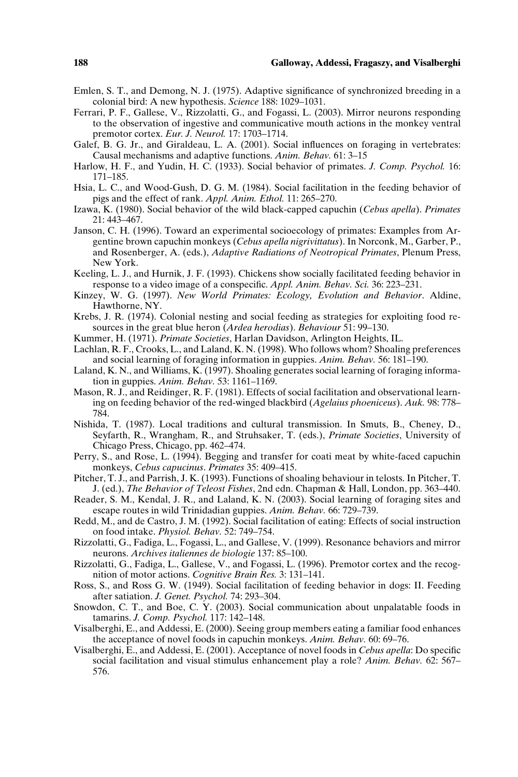- Emlen, S. T., and Demong, N. J. (1975). Adaptive significance of synchronized breeding in a colonial bird: A new hypothesis. *Science* 188: 1029–1031.
- Ferrari, P. F., Gallese, V., Rizzolatti, G., and Fogassi, L. (2003). Mirror neurons responding to the observation of ingestive and communicative mouth actions in the monkey ventral premotor cortex. *Eur. J. Neurol.* 17: 1703–1714.
- Galef, B. G. Jr., and Giraldeau, L. A. (2001). Social influences on foraging in vertebrates: Causal mechanisms and adaptive functions. *Anim. Behav.* 61: 3–15
- Harlow, H. F., and Yudin, H. C. (1933). Social behavior of primates. *J. Comp. Psychol.* 16: 171–185.
- Hsia, L. C., and Wood-Gush, D. G. M. (1984). Social facilitation in the feeding behavior of pigs and the effect of rank. *Appl. Anim. Ethol.* 11: 265–270.
- Izawa, K. (1980). Social behavior of the wild black-capped capuchin (*Cebus apella*). *Primates* 21: 443–467.
- Janson, C. H. (1996). Toward an experimental socioecology of primates: Examples from Argentine brown capuchin monkeys (*Cebus apella nigrivittatus*). In Norconk, M., Garber, P., and Rosenberger, A. (eds.), *Adaptive Radiations of Neotropical Primates*, Plenum Press, New York.
- Keeling, L. J., and Hurnik, J. F. (1993). Chickens show socially facilitated feeding behavior in response to a video image of a conspecific. *Appl. Anim. Behav. Sci.* 36: 223–231.
- Kinzey, W. G. (1997). *New World Primates: Ecology, Evolution and Behavior*. Aldine, Hawthorne, NY.
- Krebs, J. R. (1974). Colonial nesting and social feeding as strategies for exploiting food resources in the great blue heron (*Ardea herodias*). *Behaviour* 51: 99–130.
- Kummer, H. (1971). *Primate Societies*, Harlan Davidson, Arlington Heights, IL.
- Lachlan, R. F., Crooks, L., and Laland, K. N. (1998). Who follows whom? Shoaling preferences and social learning of foraging information in guppies. *Anim. Behav.* 56: 181–190.
- Laland, K. N., and Williams, K. (1997). Shoaling generates social learning of foraging information in guppies. *Anim. Behav.* 53: 1161–1169.
- Mason, R. J., and Reidinger, R. F. (1981). Effects of social facilitation and observational learning on feeding behavior of the red-winged blackbird (*Agelaius phoeniceus*). *Auk.* 98: 778– 784.
- Nishida, T. (1987). Local traditions and cultural transmission. In Smuts, B., Cheney, D., Seyfarth, R., Wrangham, R., and Struhsaker, T. (eds.), *Primate Societies*, University of Chicago Press, Chicago, pp. 462–474.
- Perry, S., and Rose, L. (1994). Begging and transfer for coati meat by white-faced capuchin monkeys, *Cebus capucinus*. *Primates* 35: 409–415.
- Pitcher, T. J., and Parrish, J. K. (1993). Functions of shoaling behaviour in telosts. In Pitcher, T. J. (ed.), *The Behavior of Teleost Fishes*, 2nd edn. Chapman & Hall, London, pp. 363–440.
- Reader, S. M., Kendal, J. R., and Laland, K. N. (2003). Social learning of foraging sites and escape routes in wild Trinidadian guppies. *Anim. Behav.* 66: 729–739.
- Redd, M., and de Castro, J. M. (1992). Social facilitation of eating: Effects of social instruction on food intake. *Physiol. Behav.* 52: 749–754.
- Rizzolatti, G., Fadiga, L., Fogassi, L., and Gallese, V. (1999). Resonance behaviors and mirror neurons. *Archives italiennes de biologie* 137: 85–100.
- Rizzolatti, G., Fadiga, L., Gallese, V., and Fogassi, L. (1996). Premotor cortex and the recognition of motor actions. *Cognitive Brain Res.* 3: 131–141.
- Ross, S., and Ross G. W. (1949). Social facilitation of feeding behavior in dogs: II. Feeding after satiation. *J. Genet. Psychol.* 74: 293–304.
- Snowdon, C. T., and Boe, C. Y. (2003). Social communication about unpalatable foods in tamarins. *J. Comp. Psychol.* 117: 142–148.
- Visalberghi, E., and Addessi, E. (2000). Seeing group members eating a familiar food enhances the acceptance of novel foods in capuchin monkeys. *Anim. Behav.* 60: 69–76.
- Visalberghi, E., and Addessi, E. (2001). Acceptance of novel foods in *Cebus apella*: Do specific social facilitation and visual stimulus enhancement play a role? *Anim. Behav.* 62: 567– 576.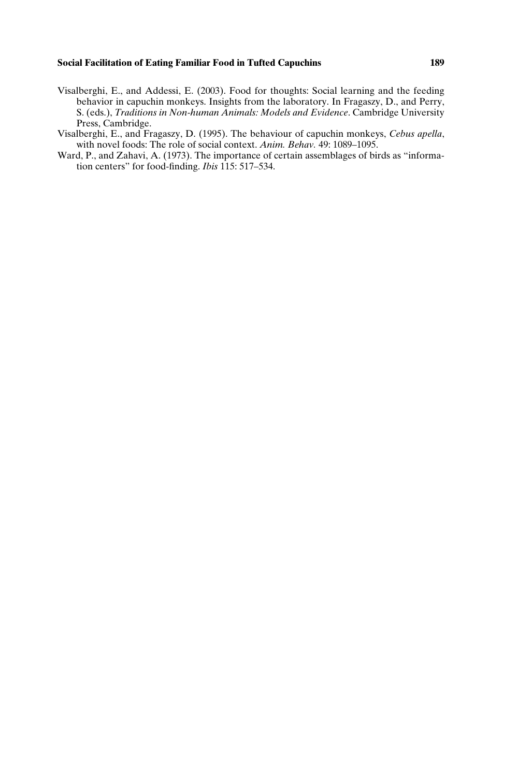- Visalberghi, E., and Addessi, E. (2003). Food for thoughts: Social learning and the feeding behavior in capuchin monkeys. Insights from the laboratory. In Fragaszy, D., and Perry, S. (eds.), *Traditions in Non-human Animals: Models and Evidence*. Cambridge University Press, Cambridge.
- Visalberghi, E., and Fragaszy, D. (1995). The behaviour of capuchin monkeys, *Cebus apella*, with novel foods: The role of social context. *Anim. Behav.* 49: 1089–1095.
- Ward, P., and Zahavi, A. (1973). The importance of certain assemblages of birds as "information centers" for food-finding. *Ibis* 115: 517–534.